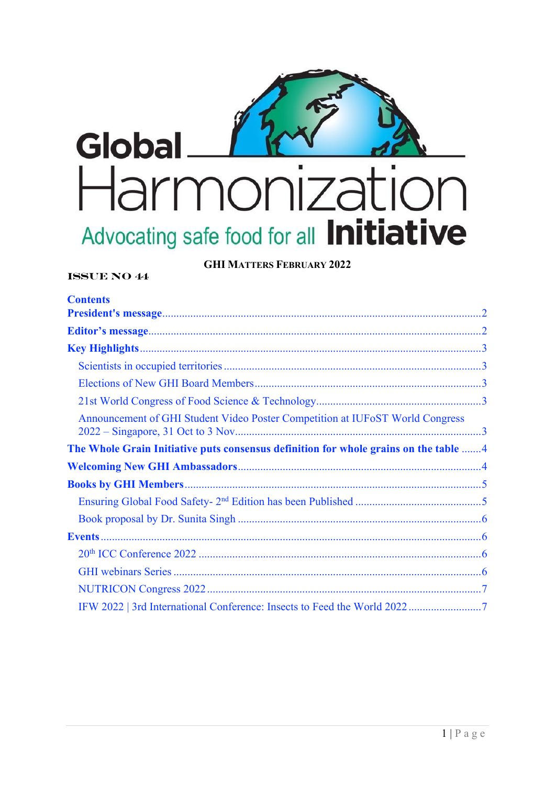

**GHI MATTERS FEBRUARY 2022** 

# **ISSUE NO 44**

| <b>Contents</b>                                                                      |  |
|--------------------------------------------------------------------------------------|--|
|                                                                                      |  |
|                                                                                      |  |
|                                                                                      |  |
|                                                                                      |  |
|                                                                                      |  |
|                                                                                      |  |
| Announcement of GHI Student Video Poster Competition at IUFoST World Congress        |  |
| The Whole Grain Initiative puts consensus definition for whole grains on the table 4 |  |
|                                                                                      |  |
|                                                                                      |  |
|                                                                                      |  |
|                                                                                      |  |
|                                                                                      |  |
|                                                                                      |  |
|                                                                                      |  |
|                                                                                      |  |
|                                                                                      |  |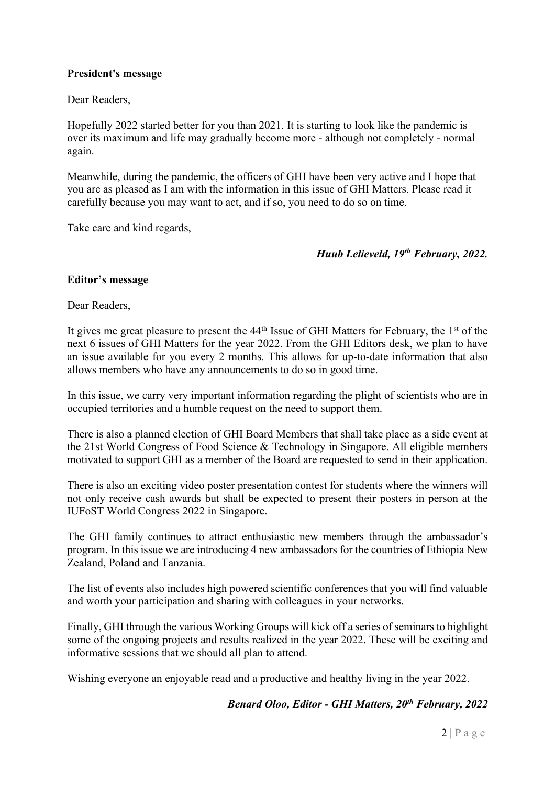## <span id="page-1-0"></span>**President's message**

Dear Readers,

Hopefully 2022 started better for you than 2021. It is starting to look like the pandemic is over its maximum and life may gradually become more - although not completely - normal again.

Meanwhile, during the pandemic, the officers of GHI have been very active and I hope that you are as pleased as I am with the information in this issue of GHI Matters. Please read it carefully because you may want to act, and if so, you need to do so on time.

Take care and kind regards,

## *Huub Lelieveld, 19th February, 2022.*

#### **Editor's message**

Dear Readers,

It gives me great pleasure to present the  $44<sup>th</sup>$  Issue of GHI Matters for February, the  $1<sup>st</sup>$  of the next 6 issues of GHI Matters for the year 2022. From the GHI Editors desk, we plan to have an issue available for you every 2 months. This allows for up-to-date information that also allows members who have any announcements to do so in good time.

In this issue, we carry very important information regarding the plight of scientists who are in occupied territories and a humble request on the need to support them.

There is also a planned election of GHI Board Members that shall take place as a side event at the 21st World Congress of Food Science & Technology in Singapore. All eligible members motivated to support GHI as a member of the Board are requested to send in their application.

There is also an exciting video poster presentation contest for students where the winners will not only receive cash awards but shall be expected to present their posters in person at the IUFoST World Congress 2022 in Singapore.

The GHI family continues to attract enthusiastic new members through the ambassador's program. In this issue we are introducing 4 new ambassadors for the countries of Ethiopia New Zealand, Poland and Tanzania.

The list of events also includes high powered scientific conferences that you will find valuable and worth your participation and sharing with colleagues in your networks.

Finally, GHI through the various Working Groups will kick off a series of seminars to highlight some of the ongoing projects and results realized in the year 2022. These will be exciting and informative sessions that we should all plan to attend.

Wishing everyone an enjoyable read and a productive and healthy living in the year 2022.

## *Benard Oloo, Editor - GHI Matters, 20th February, 2022*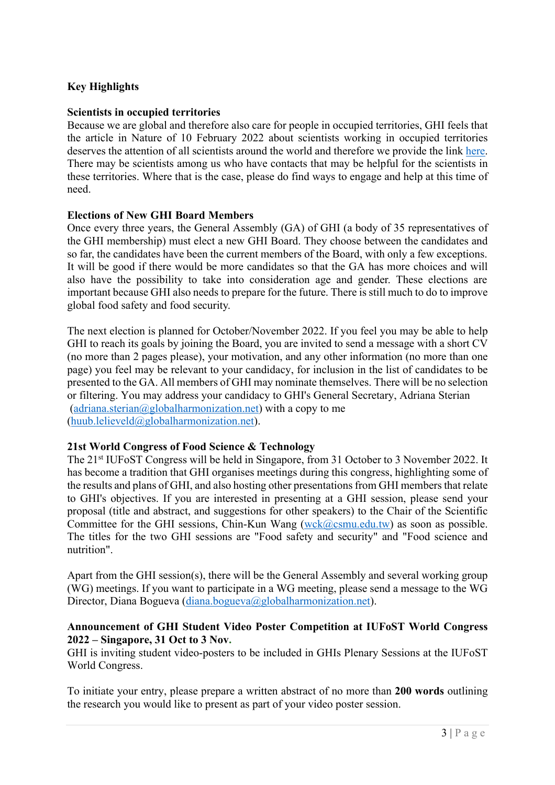# <span id="page-2-0"></span>**Key Highlights**

#### **Scientists in occupied territories**

Because we are global and therefore also care for people in occupied territories, GHI feels that the article in Nature of 10 February 2022 about scientists working in occupied territories deserves the attention of all scientists around the world and therefore we provide the link [here](https://media.nature.com/original/magazine-assets/d41586-022-00314-0/d41586-022-00314-0.pdf). There may be scientists among us who have contacts that may be helpful for the scientists in these territories. Where that is the case, please do find ways to engage and help at this time of need.

#### **Elections of New GHI Board Members**

 Once every three years, the General Assembly (GA) of GHI (a body of 35 representatives of the GHI membership) must elect a new GHI Board. They choose between the candidates and so far, the candidates have been the current members of the Board, with only a few exceptions. It will be good if there would be more candidates so that the GA has more choices and will also have the possibility to take into consideration age and gender. These elections are important because GHI also needs to prepare for the future. There is still much to do to improve global food safety and food security.

The next election is planned for October/November 2022. If you feel you may be able to help GHI to reach its goals by joining the Board, you are invited to send a message with a short CV (no more than 2 pages please), your motivation, and any other information (no more than one page) you feel may be relevant to your candidacy, for inclusion in the list of candidates to be presented to the GA. All members of GHI may nominate themselves. There will be no selection or filtering. You may address your candidacy to GHI's General Secretary, Adriana Sterian ([adriana.sterian@globalharmonization.net](mailto:adriana.sterian@globalharmonization.net)) with a copy to me ([huub.lelieveld@globalharmonization.net\)](mailto:huub.lelieveld@globalharmonization.net).

#### **21st World Congress of Food Science & Technology**

The 21st IUFoST Congress will be held in Singapore, from 31 October to 3 November 2022. It has become a tradition that GHI organises meetings during this congress, highlighting some of the results and plans of GHI, and also hosting other presentations from GHI members that relate to GHI's objectives. If you are interested in presenting at a GHI session, please send your proposal (title and abstract, and suggestions for other speakers) to the Chair of the Scientific Committee for the GHI sessions, Chin-Kun Wang  $(wck@csmu.edu.tw)$  $(wck@csmu.edu.tw)$  as soon as possible. The titles for the two GHI sessions are "Food safety and security" and "Food science and nutrition".

Apart from the GHI session(s), there will be the General Assembly and several working group (WG) meetings. If you want to participate in a WG meeting, please send a message to the WG Director, Diana Bogueva [\(diana.bogueva@globalharmonization.net\)](mailto:diana.bogueva@globalharmonization.net).

#### **Announcement of GHI Student Video Poster Competition at IUFoST World Congress 2022 – Singapore, 31 Oct to 3 Nov.**

GHI is inviting student video-posters to be included in GHIs Plenary Sessions at the IUFoST World Congress.

To initiate your entry, please prepare a written abstract of no more than **200 words** outlining the research you would like to present as part of your video poster session.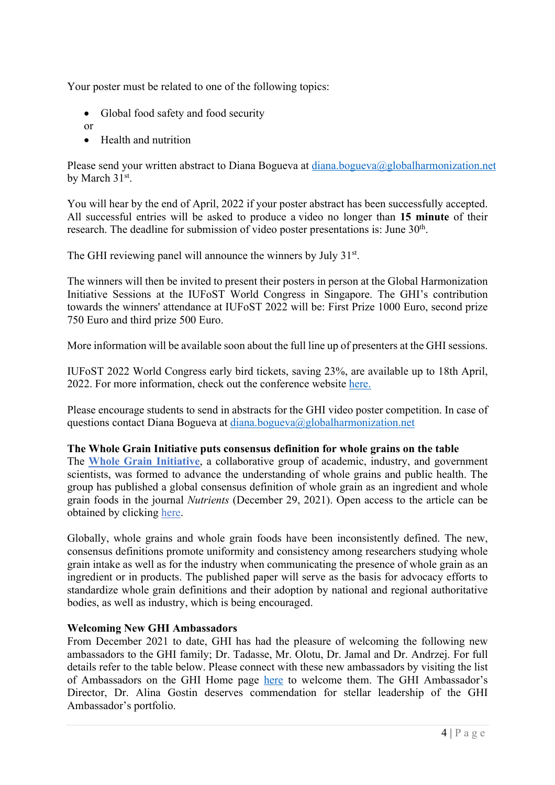<span id="page-3-0"></span>Your poster must be related to one of the following topics:

- Global food safety and food security
- or
- Health and nutrition

Please send your written abstract to Diana Bogueva at [diana.bogueva@globalharmonization.net](mailto:diana.bogueva@globalharmonization.net) by March 31st.

You will hear by the end of April, 2022 if your poster abstract has been successfully accepted. All successful entries will be asked to produce a video no longer than **15 minute** of their research. The deadline for submission of video poster presentations is: June 30<sup>th</sup>.

The GHI reviewing panel will announce the winners by July 31<sup>st</sup>.

The winners will then be invited to present their posters in person at the Global Harmonization Initiative Sessions at the IUFoST World Congress in Singapore. The GHI's contribution towards the winners' attendance at IUFoST 2022 will be: First Prize 1000 Euro, second prize 750 Euro and third prize 500 Euro.

More information will be available soon about the full line up of presenters at the GHI sessions.

IUFoST 2022 World Congress early bird tickets, saving 23%, are available up to 18th April, 2022. For more information, check out the conference website [here.](https://www.iufostworldcongress-singapore.com/p/reg)

Please encourage students to send in abstracts for the GHI video poster competition. In case of questions contact Diana Bogueva at [diana.bogueva@globalharmonization.net](mailto:diana.bogueva@globalharmonization.net)

#### **The Whole Grain Initiative puts consensus definition for whole grains on the table**

The **[Whole Grain Initiative](http://www.wholegraininitiative.org/)**, a collaborative group of academic, industry, and government scientists, was formed to advance the understanding of whole grains and public health. The group has published a global consensus definition of whole grain as an ingredient and whole grain foods in the journal *Nutrients* (December 29, 2021). Open access to the article can be obtained by clicking [here.](https://www.mdpi.com/2072-6643/14/1/138)

Globally, whole grains and whole grain foods have been inconsistently defined. The new, consensus definitions promote uniformity and consistency among researchers studying whole grain intake as well as for the industry when communicating the presence of whole grain as an ingredient or in products. The published paper will serve as the basis for advocacy efforts to standardize whole grain definitions and their adoption by national and regional authoritative bodies, as well as industry, which is being encouraged.

#### **Welcoming New GHI Ambassadors**

From December 2021 to date, GHI has had the pleasure of welcoming the following new ambassadors to the GHI family; Dr. Tadasse, Mr. Olotu, Dr. Jamal and Dr. Andrzej. For full details refer to the table below. Please connect with these new ambassadors by visiting the list of Ambassadors on the GHI Home page [here](https://www.globalharmonization.net/ambassadors) to welcome them. The GHI Ambassador's Director, Dr. Alina Gostin deserves commendation for stellar leadership of the GHI Ambassador's portfolio.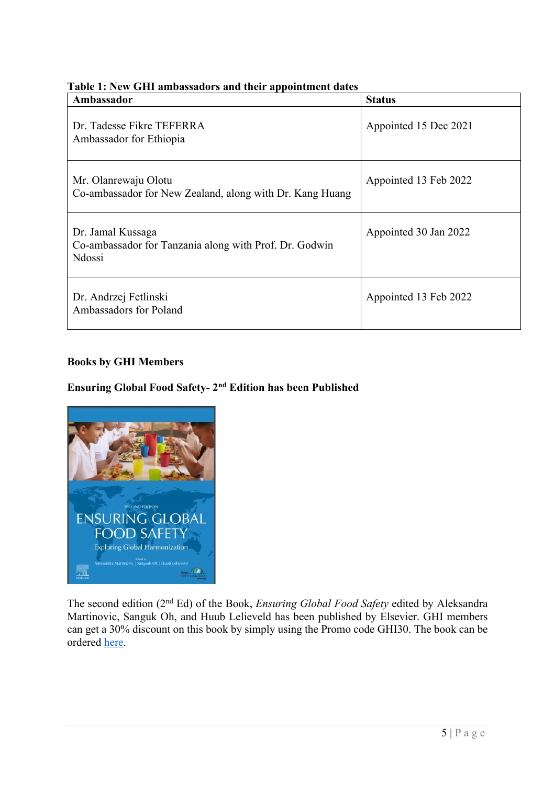| Ambassador                                                                                    | <b>Status</b>         |
|-----------------------------------------------------------------------------------------------|-----------------------|
| Dr. Tadesse Fikre TEFERRA<br>Ambassador for Ethiopia                                          | Appointed 15 Dec 2021 |
| Mr. Olanrewaju Olotu<br>Co-ambassador for New Zealand, along with Dr. Kang Huang              | Appointed 13 Feb 2022 |
| Dr. Jamal Kussaga<br>Co-ambassador for Tanzania along with Prof. Dr. Godwin<br><b>N</b> dossi | Appointed 30 Jan 2022 |
| Dr. Andrzej Fetlinski<br>Ambassadors for Poland                                               | Appointed 13 Feb 2022 |

## <span id="page-4-0"></span>**Table 1: New GHI ambassadors and their appointment dates**

# **Books by GHI Members**

# **Ensuring Global Food Safety- 2nd Edition has been Published**



The second edition (2nd Ed) of the Book, *Ensuring Global Food Safety* edited by Aleksandra Martinovic, Sanguk Oh, and Huub Lelieveld has been published by Elsevier. GHI members can get a 30% discount on this book by simply using the Promo code GHI30. The book can be ordered [here](https://www.elsevier.com/books/ensuring-global-food-safety/martinovic/978-0-12-816011-4).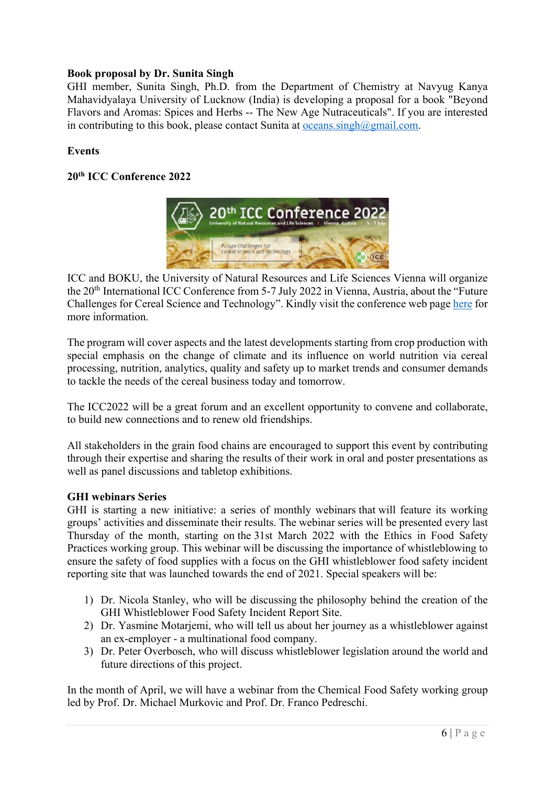## <span id="page-5-0"></span>**Book proposal by Dr. Sunita Singh**

GHI member, Sunita Singh, Ph.D. from the Department of Chemistry at Navyug Kanya Mahavidyalaya University of Lucknow (India) is developing a proposal for a book "Beyond Flavors and Aromas: Spices and Herbs -- The New Age Nutraceuticals". If you are interested in contributing to this book, please contact Sunita at oceans.singh $@g$ gmail.com.

## **Events**

# **20th ICC Conference 2022**



ICC and BOKU, the University of Natural Resources and Life Sciences Vienna will organize the 20<sup>th</sup> International ICC Conference from 5-7 July 2022 in Vienna, Austria, about the "Future Challenges for Cereal Science and Technology". Kindly visit the conference web page [here](https://www.icc-conference.com/en/) for more information.

The program will cover aspects and the latest developments starting from crop production with special emphasis on the change of climate and its influence on world nutrition via cereal processing, nutrition, analytics, quality and safety up to market trends and consumer demands to tackle the needs of the cereal business today and tomorrow.

The ICC2022 will be a great forum and an excellent opportunity to convene and collaborate, to build new connections and to renew old friendships.

All stakeholders in the grain food chains are encouraged to support this event by contributing through their expertise and sharing the results of their work in oral and poster presentations as well as panel discussions and tabletop exhibitions.

## **GHI webinars Series**

GHI is starting a new initiative: a series of monthly webinars that will feature its working groups' activities and disseminate their results. The webinar series will be presented every last Thursday of the month, starting on the 31st March 2022 with the Ethics in Food Safety Practices working group. This webinar will be discussing the importance of whistleblowing to ensure the safety of food supplies with a focus on the GHI whistleblower food safety incident reporting site that was launched towards the end of 2021. Special speakers will be:

- 1) Dr. Nicola Stanley, who will be discussing the philosophy behind the creation of the GHI Whistleblower Food Safety Incident Report Site.
- 2) Dr. Yasmine Motarjemi, who will tell us about her journey as a whistleblower against an ex-employer - a multinational food company.
- 3) Dr. Peter Overbosch, who will discuss whistleblower legislation around the world and future directions of this project.

In the month of April, we will have a webinar from the Chemical Food Safety working group led by Prof. Dr. Michael Murkovic and Prof. Dr. Franco Pedreschi.